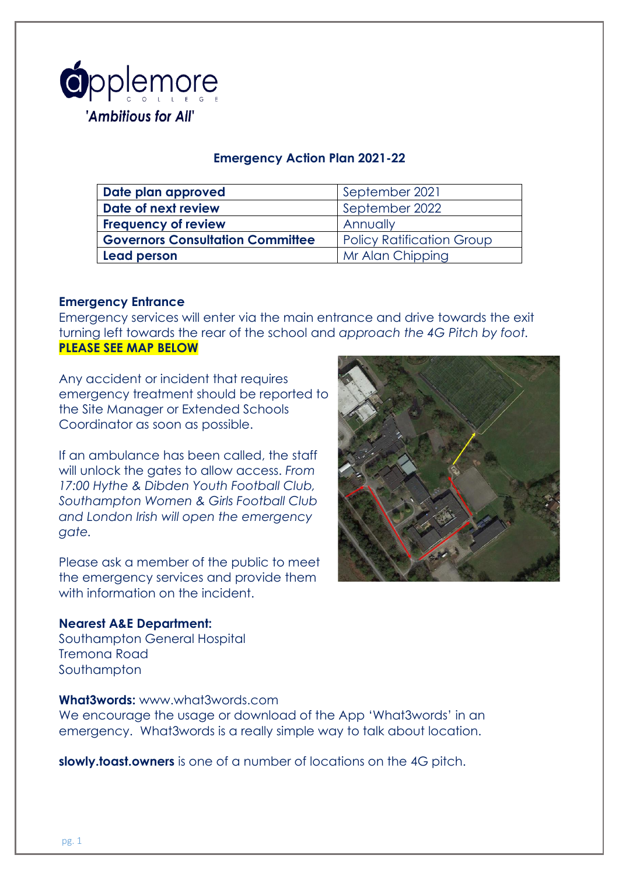

## **Emergency Action Plan 2021-22**

| Date plan approved                      | September 2021                   |
|-----------------------------------------|----------------------------------|
| Date of next review                     | September 2022                   |
| <b>Frequency of review</b>              | Annually                         |
| <b>Governors Consultation Committee</b> | <b>Policy Ratification Group</b> |
| <b>Lead person</b>                      | Mr Alan Chipping                 |

### **Emergency Entrance**

Emergency services will enter via the main entrance and drive towards the exit turning left towards the rear of the school and *approach the 4G Pitch by foot.* **PLEASE SEE MAP BELOW**

Any accident or incident that requires emergency treatment should be reported to the Site Manager or Extended Schools Coordinator as soon as possible.

If an ambulance has been called, the staff will unlock the gates to allow access. *From 17:00 Hythe & Dibden Youth Football Club, Southampton Women & Girls Football Club and London Irish will open the emergency gate.* 

Please ask a member of the public to meet the emergency services and provide them with information on the incident.

#### **Nearest A&E Department:**

Southampton General Hospital Tremona Road **Southampton** 

### **What3words:** www.what3words.com

We encourage the usage or download of the App 'What3words' in an emergency. What3words is a really simple way to talk about location.

**slowly.toast.owners** is one of a number of locations on the 4G pitch.

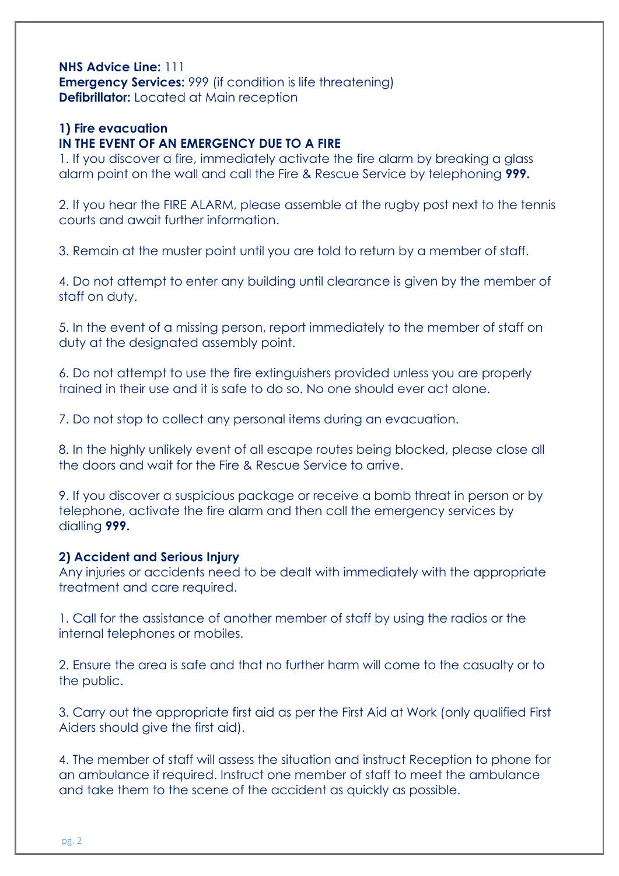### **NHS Advice Line:** 111 **Emergency Services: 999 (if condition is life threatening) Defibrillator:** Located at Main reception

# **1) Fire evacuation**

## **IN THE EVENT OF AN EMERGENCY DUE TO A FIRE**

1. If you discover a fire, immediately activate the fire alarm by breaking a glass alarm point on the wall and call the Fire & Rescue Service by telephoning **999.** 

2. If you hear the FIRE ALARM, please assemble at the rugby post next to the tennis courts and await further information.

3. Remain at the muster point until you are told to return by a member of staff.

4. Do not attempt to enter any building until clearance is given by the member of staff on duty.

5. In the event of a missing person, report immediately to the member of staff on duty at the designated assembly point.

6. Do not attempt to use the fire extinguishers provided unless you are properly trained in their use and it is safe to do so. No one should ever act alone.

7. Do not stop to collect any personal items during an evacuation.

8. In the highly unlikely event of all escape routes being blocked, please close all the doors and wait for the Fire & Rescue Service to arrive.

9. If you discover a suspicious package or receive a bomb threat in person or by telephone, activate the fire alarm and then call the emergency services by dialling **999.**

### **2) Accident and Serious Injury**

Any injuries or accidents need to be dealt with immediately with the appropriate treatment and care required.

1. Call for the assistance of another member of staff by using the radios or the internal telephones or mobiles.

2. Ensure the area is safe and that no further harm will come to the casualty or to the public.

3. Carry out the appropriate first aid as per the First Aid at Work (only qualified First Aiders should give the first aid).

4. The member of staff will assess the situation and instruct Reception to phone for an ambulance if required. Instruct one member of staff to meet the ambulance and take them to the scene of the accident as quickly as possible.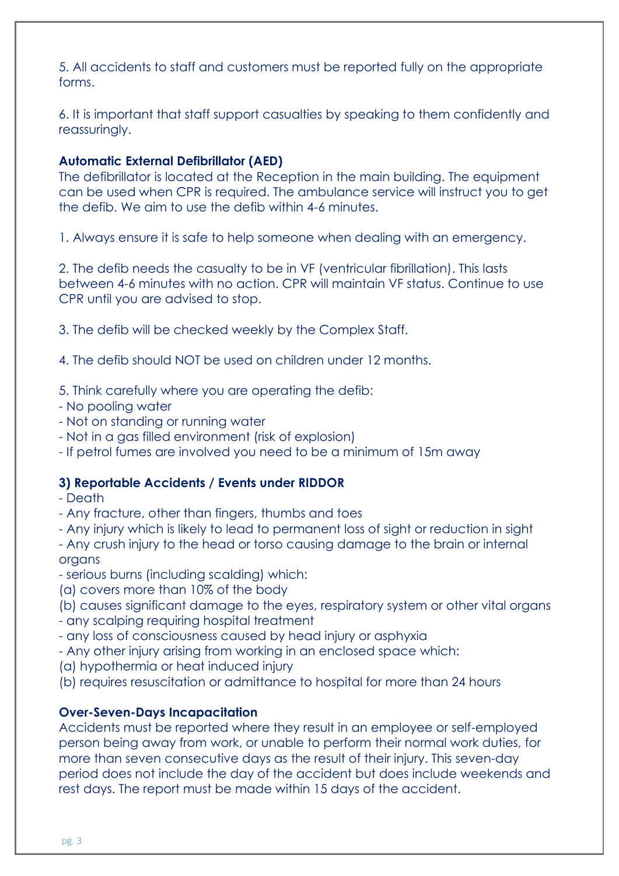5. All accidents to staff and customers must be reported fully on the appropriate forms.

6. It is important that staff support casualties by speaking to them confidently and reassuringly.

# **Automatic External Defibrillator (AED)**

The defibrillator is located at the Reception in the main building. The equipment can be used when CPR is required. The ambulance service will instruct you to get the defib. We aim to use the defib within 4-6 minutes.

1. Always ensure it is safe to help someone when dealing with an emergency.

2. The defib needs the casualty to be in VF (ventricular fibrillation). This lasts between 4-6 minutes with no action. CPR will maintain VF status. Continue to use CPR until you are advised to stop.

3. The defib will be checked weekly by the Complex Staff.

4. The defib should NOT be used on children under 12 months.

- 5. Think carefully where you are operating the defib:
- No pooling water
- Not on standing or running water
- Not in a gas filled environment (risk of explosion)
- If petrol fumes are involved you need to be a minimum of 15m away

## **3) Reportable Accidents / Events under RIDDOR**

- Death
- Any fracture, other than fingers, thumbs and toes
- Any injury which is likely to lead to permanent loss of sight or reduction in sight
- Any crush injury to the head or torso causing damage to the brain or internal organs
- serious burns (including scalding) which:
- (a) covers more than 10% of the body
- (b) causes significant damage to the eyes, respiratory system or other vital organs - any scalping requiring hospital treatment
- any loss of consciousness caused by head injury or asphyxia
- Any other injury arising from working in an enclosed space which:
- (a) hypothermia or heat induced injury
- (b) requires resuscitation or admittance to hospital for more than 24 hours

## **Over-Seven-Days Incapacitation**

Accidents must be reported where they result in an employee or self-employed person being away from work, or unable to perform their normal work duties, for more than seven consecutive days as the result of their injury. This seven-day period does not include the day of the accident but does include weekends and rest days. The report must be made within 15 days of the accident.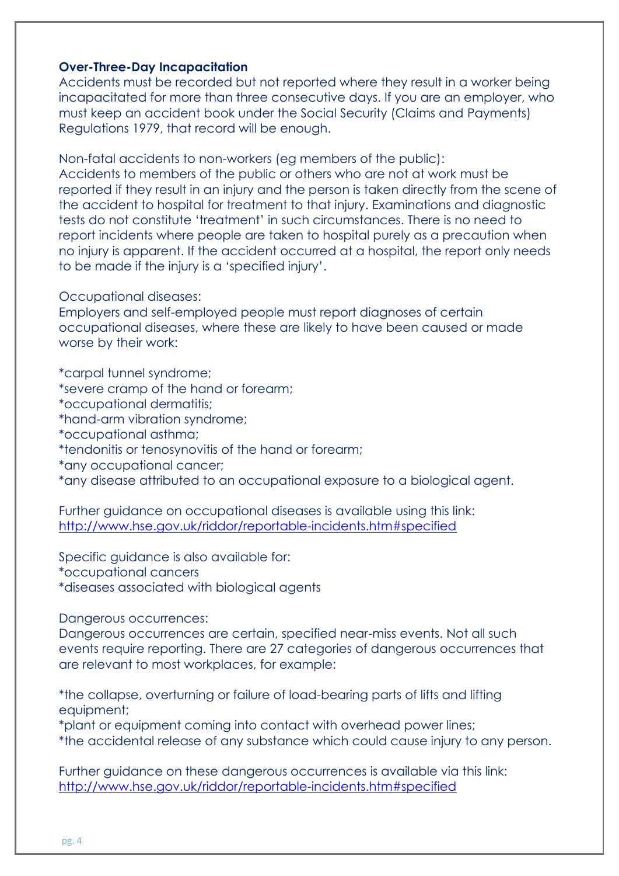### **Over-Three-Day Incapacitation**

Accidents must be recorded but not reported where they result in a worker being incapacitated for more than three consecutive days. If you are an employer, who must keep an accident book under the Social Security (Claims and Payments) Regulations 1979, that record will be enough.

Non-fatal accidents to non-workers (eg members of the public): Accidents to members of the public or others who are not at work must be reported if they result in an injury and the person is taken directly from the scene of the accident to hospital for treatment to that injury. Examinations and diagnostic tests do not constitute 'treatment' in such circumstances. There is no need to report incidents where people are taken to hospital purely as a precaution when no injury is apparent. If the accident occurred at a hospital, the report only needs to be made if the injury is a 'specified injury'.

#### Occupational diseases:

Employers and self-employed people must report diagnoses of certain occupational diseases, where these are likely to have been caused or made worse by their work:

\*carpal tunnel syndrome;

- \*severe cramp of the hand or forearm;
- \*occupational dermatitis;
- \*hand-arm vibration syndrome;
- \*occupational asthma;
- \*tendonitis or tenosynovitis of the hand or forearm;
- \*any occupational cancer;
- \*any disease attributed to an occupational exposure to a biological agent.

Further guidance on occupational diseases is available using this link: <http://www.hse.gov.uk/riddor/reportable-incidents.htm#specified>

Specific guidance is also available for:

\*occupational cancers

\*diseases associated with biological agents

Dangerous occurrences:

Dangerous occurrences are certain, specified near-miss events. Not all such events require reporting. There are 27 categories of dangerous occurrences that are relevant to most workplaces, for example:

\*the collapse, overturning or failure of load-bearing parts of lifts and lifting equipment;

\*plant or equipment coming into contact with overhead power lines;

\*the accidental release of any substance which could cause injury to any person.

Further guidance on these dangerous occurrences is available via this link: <http://www.hse.gov.uk/riddor/reportable-incidents.htm#specified>